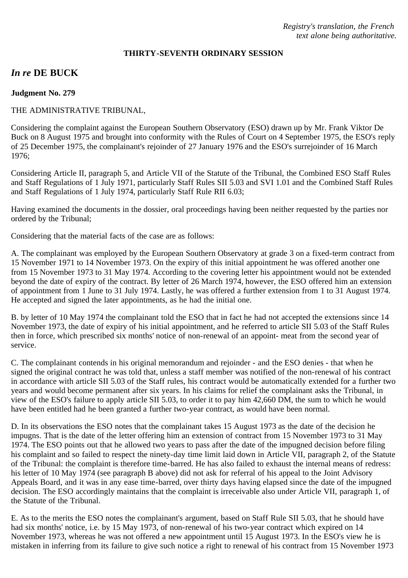#### **THIRTY-SEVENTH ORDINARY SESSION**

# *In re* **DE BUCK**

#### **Judgment No. 279**

### THE ADMINISTRATIVE TRIBUNAL,

Considering the complaint against the European Southern Observatory (ESO) drawn up by Mr. Frank Viktor De Buck on 8 August 1975 and brought into conformity with the Rules of Court on 4 September 1975, the ESO's reply of 25 December 1975, the complainant's rejoinder of 27 January 1976 and the ESO's surrejoinder of 16 March 1976;

Considering Article II, paragraph 5, and Article VII of the Statute of the Tribunal, the Combined ESO Staff Rules and Staff Regulations of 1 July 1971, particularly Staff Rules SII 5.03 and SVI 1.01 and the Combined Staff Rules and Staff Regulations of 1 July 1974, particularly Staff Rule RII 6.03;

Having examined the documents in the dossier, oral proceedings having been neither requested by the parties nor ordered by the Tribunal;

Considering that the material facts of the case are as follows:

A. The complainant was employed by the European Southern Observatory at grade 3 on a fixed-term contract from 15 November 1971 to 14 November 1973. On the expiry of this initial appointment he was offered another one from 15 November 1973 to 31 May 1974. According to the covering letter his appointment would not be extended beyond the date of expiry of the contract. By letter of 26 March 1974, however, the ESO offered him an extension of appointment from 1 June to 31 July 1974. Lastly, he was offered a further extension from 1 to 31 August 1974. He accepted and signed the later appointments, as he had the initial one.

B. by letter of 10 May 1974 the complainant told the ESO that in fact he had not accepted the extensions since 14 November 1973, the date of expiry of his initial appointment, and he referred to article SII 5.03 of the Staff Rules then in force, which prescribed six months' notice of non-renewal of an appoint- meat from the second year of service.

C. The complainant contends in his original memorandum and rejoinder - and the ESO denies - that when he signed the original contract he was told that, unless a staff member was notified of the non-renewal of his contract in accordance with article SII 5.03 of the Staff rules, his contract would be automatically extended for a further two years and would become permanent after six years. In his claims for relief the complainant asks the Tribunal, in view of the ESO's failure to apply article SII 5.03, to order it to pay him 42,660 DM, the sum to which he would have been entitled had he been granted a further two-year contract, as would have been normal.

D. In its observations the ESO notes that the complainant takes 15 August 1973 as the date of the decision he impugns. That is the date of the letter offering him an extension of contract from 15 November 1973 to 31 May 1974. The ESO points out that he allowed two years to pass after the date of the impugned decision before filing his complaint and so failed to respect the ninety-day time limit laid down in Article VII, paragraph 2, of the Statute of the Tribunal: the complaint is therefore time-barred. He has also failed to exhaust the internal means of redress: his letter of 10 May 1974 (see paragraph B above) did not ask for referral of his appeal to the Joint Advisory Appeals Board, and it was in any ease time-barred, over thirty days having elapsed since the date of the impugned decision. The ESO accordingly maintains that the complaint is irreceivable also under Article VII, paragraph 1, of the Statute of the Tribunal.

E. As to the merits the ESO notes the complainant's argument, based on Staff Rule SII 5.03, that he should have had six months' notice, i.e. by 15 May 1973, of non-renewal of his two-year contract which expired on 14 November 1973, whereas he was not offered a new appointment until 15 August 1973. In the ESO's view he is mistaken in inferring from its failure to give such notice a right to renewal of his contract from 15 November 1973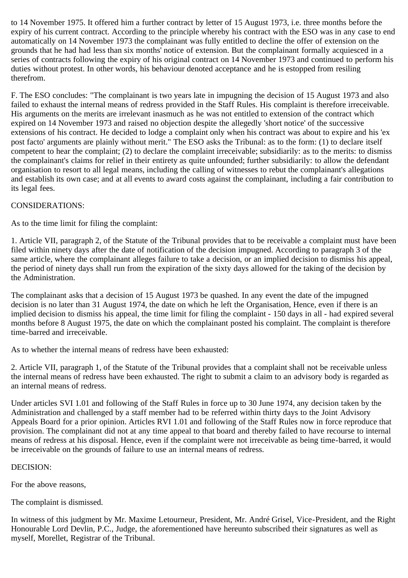to 14 November 1975. It offered him a further contract by letter of 15 August 1973, i.e. three months before the expiry of his current contract. According to the principle whereby his contract with the ESO was in any case to end automatically on 14 November 1973 the complainant was fully entitled to decline the offer of extension on the grounds that he had had less than six months' notice of extension. But the complainant formally acquiesced in a series of contracts following the expiry of his original contract on 14 November 1973 and continued to perform his duties without protest. In other words, his behaviour denoted acceptance and he is estopped from resiling therefrom.

F. The ESO concludes: "The complainant is two years late in impugning the decision of 15 August 1973 and also failed to exhaust the internal means of redress provided in the Staff Rules. His complaint is therefore irreceivable. His arguments on the merits are irrelevant inasmuch as he was not entitled to extension of the contract which expired on 14 November 1973 and raised no objection despite the allegedly 'short notice' of the successive extensions of his contract. He decided to lodge a complaint only when his contract was about to expire and his 'ex post facto' arguments are plainly without merit." The ESO asks the Tribunal: as to the form: (1) to declare itself competent to hear the complaint; (2) to declare the complaint irreceivable; subsidiarily: as to the merits: to dismiss the complainant's claims for relief in their entirety as quite unfounded; further subsidiarily: to allow the defendant organisation to resort to all legal means, including the calling of witnesses to rebut the complainant's allegations and establish its own case; and at all events to award costs against the complainant, including a fair contribution to its legal fees.

# CONSIDERATIONS:

As to the time limit for filing the complaint:

1. Article VII, paragraph 2, of the Statute of the Tribunal provides that to be receivable a complaint must have been filed within ninety days after the date of notification of the decision impugned. According to paragraph 3 of the same article, where the complainant alleges failure to take a decision, or an implied decision to dismiss his appeal, the period of ninety days shall run from the expiration of the sixty days allowed for the taking of the decision by the Administration.

The complainant asks that a decision of 15 August 1973 be quashed. In any event the date of the impugned decision is no later than 31 August 1974, the date on which he left the Organisation, Hence, even if there is an implied decision to dismiss his appeal, the time limit for filing the complaint - 150 days in all - had expired several months before 8 August 1975, the date on which the complainant posted his complaint. The complaint is therefore time-barred and irreceivable.

As to whether the internal means of redress have been exhausted:

2. Article VII, paragraph 1, of the Statute of the Tribunal provides that a complaint shall not be receivable unless the internal means of redress have been exhausted. The right to submit a claim to an advisory body is regarded as an internal means of redress.

Under articles SVI 1.01 and following of the Staff Rules in force up to 30 June 1974, any decision taken by the Administration and challenged by a staff member had to be referred within thirty days to the Joint Advisory Appeals Board for a prior opinion. Articles RVI 1.01 and following of the Staff Rules now in force reproduce that provision. The complainant did not at any time appeal to that board and thereby failed to have recourse to internal means of redress at his disposal. Hence, even if the complaint were not irreceivable as being time-barred, it would be irreceivable on the grounds of failure to use an internal means of redress.

# DECISION:

For the above reasons,

The complaint is dismissed.

In witness of this judgment by Mr. Maxime Letourneur, President, Mr. André Grisel, Vice-President, and the Right Honourable Lord Devlin, P.C., Judge, the aforementioned have hereunto subscribed their signatures as well as myself, Morellet, Registrar of the Tribunal.